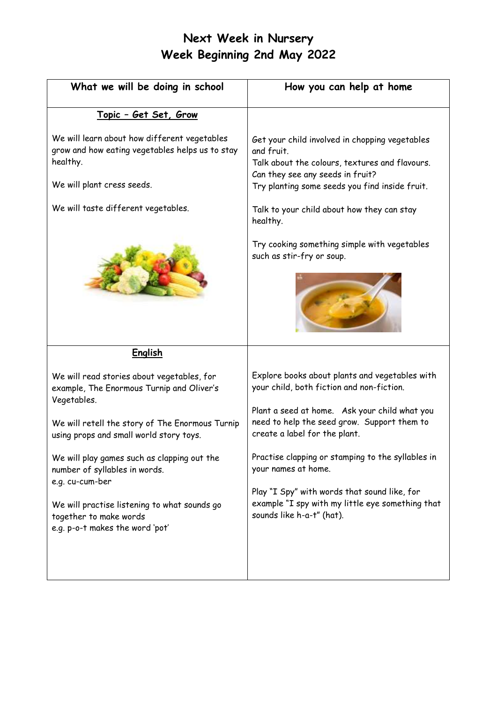# **Next Week in Nursery Week Beginning 2nd May 2022**

| What we will be doing in school                                                                                                           | How you can help at home                                                                                                                                                                             |
|-------------------------------------------------------------------------------------------------------------------------------------------|------------------------------------------------------------------------------------------------------------------------------------------------------------------------------------------------------|
| <u> Topic - Get Set, Grow</u>                                                                                                             |                                                                                                                                                                                                      |
| We will learn about how different vegetables<br>grow and how eating vegetables helps us to stay<br>healthy.<br>We will plant cress seeds. | Get your child involved in chopping vegetables<br>and fruit.<br>Talk about the colours, textures and flavours.<br>Can they see any seeds in fruit?<br>Try planting some seeds you find inside fruit. |
| We will taste different vegetables.                                                                                                       | Talk to your child about how they can stay<br>healthy.                                                                                                                                               |
|                                                                                                                                           | Try cooking something simple with vegetables<br>such as stir-fry or soup.                                                                                                                            |
| <b>English</b>                                                                                                                            |                                                                                                                                                                                                      |
| We will read stories about vegetables, for<br>example, The Enormous Turnip and Oliver's<br>Vegetables.                                    | Explore books about plants and vegetables with<br>your child, both fiction and non-fiction.                                                                                                          |
| We will retell the story of The Enormous Turnip<br>using props and small world story toys.                                                | Plant a seed at home. Ask your child what you<br>need to help the seed grow. Support them to<br>create a label for the plant.                                                                        |
| We will play games such as clapping out the<br>number of syllables in words.<br>e.g. cu-cum-ber                                           | Practise clapping or stamping to the syllables in<br>your names at home.                                                                                                                             |
| We will practise listening to what sounds go<br>together to make words<br>e.g. p-o-t makes the word 'pot'                                 | Play "I Spy" with words that sound like, for<br>example "I spy with my little eye something that<br>sounds like h-a-t" (hat).                                                                        |
|                                                                                                                                           |                                                                                                                                                                                                      |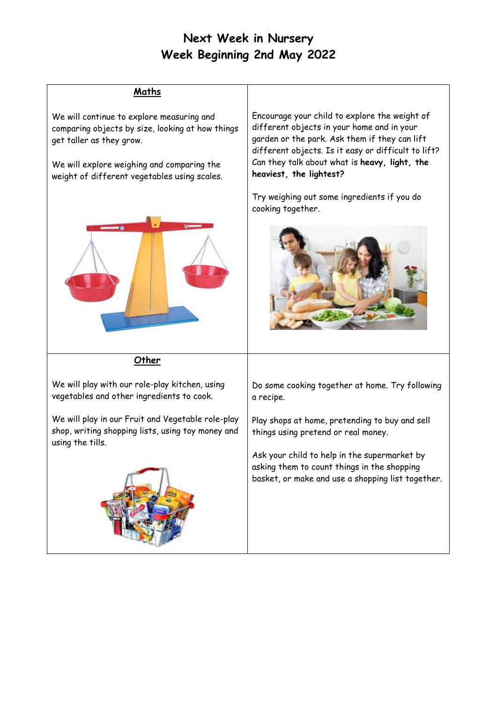# **Next Week in Nursery Week Beginning 2nd May 2022**

#### **Maths**

We will continue to explore measuring and comparing objects by size, looking at how things get taller as they grow.

We will explore weighing and comparing the weight of different vegetables using scales.



**Other**

We will play with our role-play kitchen, using vegetables and other ingredients to cook.

We will play in our Fruit and Vegetable role-play shop, writing shopping lists, using toy money and using the tills.



Encourage your child to explore the weight of different objects in your home and in your garden or the park. Ask them if they can lift different objects. Is it easy or difficult to lift? Can they talk about what is **heavy, light, the heaviest, the lightest?**

Try weighing out some ingredients if you do cooking together.



Do some cooking together at home. Try following a recipe.

Play shops at home, pretending to buy and sell things using pretend or real money.

Ask your child to help in the supermarket by asking them to count things in the shopping basket, or make and use a shopping list together.